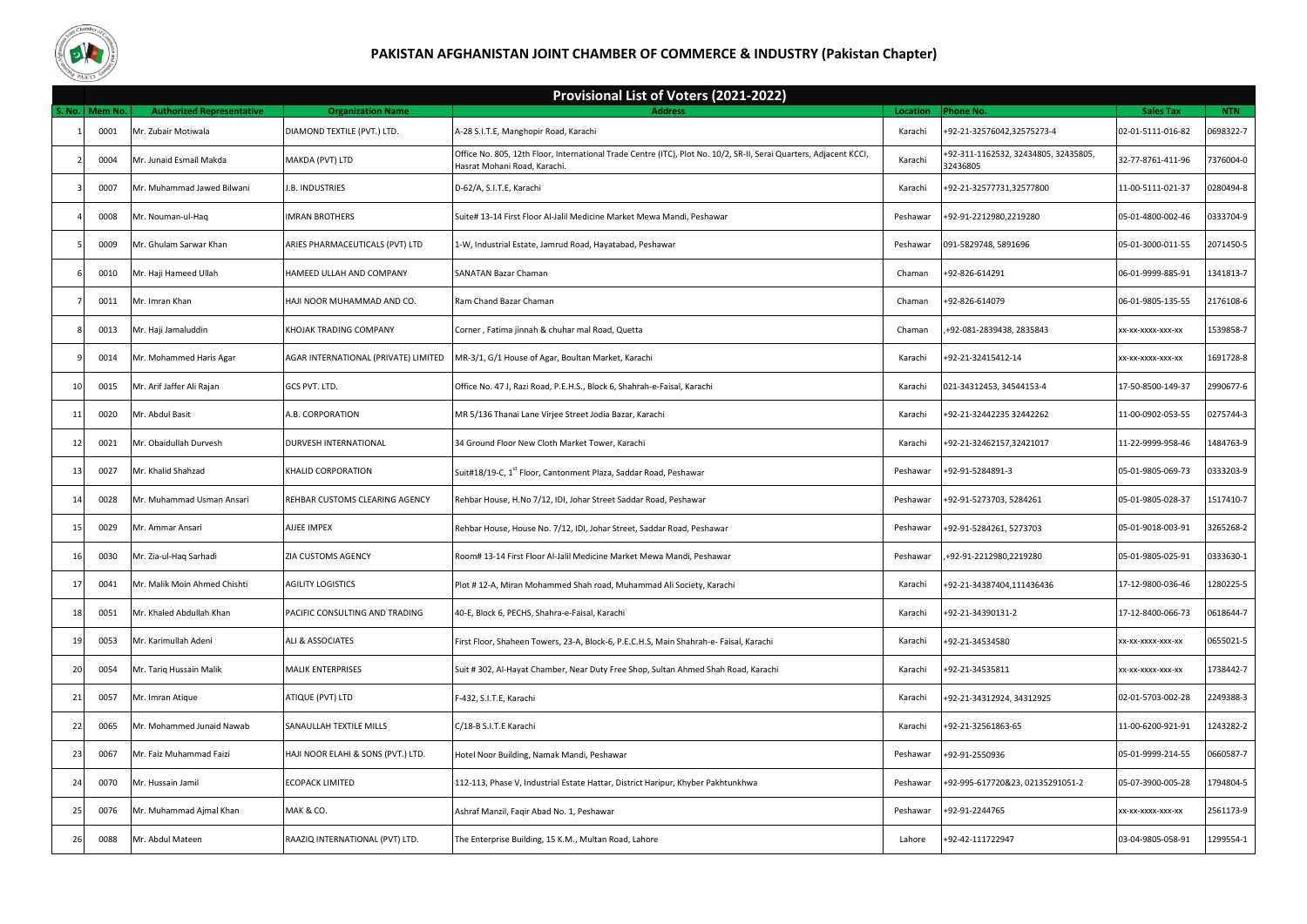

## **PAKISTAN AFGHANISTAN JOINT CHAMBER OF COMMERCE & INDUSTRY (Pakistan Chapter)**

|    | Provisional List of Voters (2021-2022) |                                  |                                      |                                                                                                                                                   |          |                                                  |                   |            |
|----|----------------------------------------|----------------------------------|--------------------------------------|---------------------------------------------------------------------------------------------------------------------------------------------------|----------|--------------------------------------------------|-------------------|------------|
|    | . No.   Mem No.                        | <b>Authorized Representative</b> | <b>Organization Name</b>             | <b>Address</b>                                                                                                                                    | Location | Phone No.                                        | <b>Sales Tax</b>  | <b>NTN</b> |
|    | 0001                                   | Mr. Zubair Motiwala              | DIAMOND TEXTILE (PVT.) LTD.          | A-28 S.I.T.E, Manghopir Road, Karachi                                                                                                             | Karachi  | +92-21-32576042,32575273-4                       | 02-01-5111-016-82 | 0698322-7  |
|    | 0004                                   | Mr. Junaid Esmail Makda          | MAKDA (PVT) LTD                      | Office No. 805, 12th Floor, International Trade Centre (ITC), Plot No. 10/2, SR-II, Serai Quarters, Adjacent KCCI,<br>Hasrat Mohani Road, Karachi | Karachi  | +92-311-1162532, 32434805, 32435805,<br>32436805 | 32-77-8761-411-96 | 7376004-0  |
|    | 0007                                   | Mr. Muhammad Jawed Bilwani       | I.B. INDUSTRIES                      | D-62/A, S.I.T.E, Karachi                                                                                                                          | Karachi  | +92-21-32577731,32577800                         | 11-00-5111-021-37 | 0280494-8  |
|    | 0008                                   | Mr. Nouman-ul-Haq                | <b>IMRAN BROTHERS</b>                | Suite# 13-14 First Floor Al-Jalil Medicine Market Mewa Mandi, Peshawar                                                                            | Peshawar | +92-91-2212980,2219280                           | 05-01-4800-002-46 | 0333704-9  |
|    | 0009                                   | Mr. Ghulam Sarwar Khan           | ARIES PHARMACEUTICALS (PVT) LTD      | 1-W, Industrial Estate, Jamrud Road, Hayatabad, Peshawar                                                                                          | Peshawar | 091-5829748, 5891696                             | 05-01-3000-011-55 | 2071450-5  |
|    | 0010                                   | Mr. Haji Hameed Ullah            | HAMEED ULLAH AND COMPANY             | SANATAN Bazar Chaman                                                                                                                              | Chaman   | +92-826-614291                                   | 06-01-9999-885-91 | 1341813-7  |
|    | 0011                                   | Mr. Imran Khan                   | HAJI NOOR MUHAMMAD AND CO.           | Ram Chand Bazar Chaman                                                                                                                            | Chaman   | +92-826-614079                                   | 06-01-9805-135-55 | 2176108-6  |
|    | 0013                                   | Mr. Haji Jamaluddin              | KHOJAK TRADING COMPANY               | Corner, Fatima jinnah & chuhar mal Road, Quetta                                                                                                   | Chaman   | +92-081-2839438, 2835843                         | XX-XX-XXXX-XXX-XX | 1539858-7  |
|    | 0014                                   | Mr. Mohammed Haris Agar          | AGAR INTERNATIONAL (PRIVATE) LIMITED | MR-3/1, G/1 House of Agar, Boultan Market, Karachi                                                                                                | Karachi  | +92-21-32415412-14                               | XX-XX-XXXX-XXX-XX | 1691728-8  |
| 10 | 0015                                   | Mr. Arif Jaffer Ali Rajan        | GCS PVT. LTD.                        | Office No. 47 J, Razi Road, P.E.H.S., Block 6, Shahrah-e-Faisal, Karachi                                                                          | Karachi  | 021-34312453, 34544153-4                         | 17-50-8500-149-37 | 2990677-6  |
| 11 | 0020                                   | Mr. Abdul Basit                  | A.B. CORPORATION                     | MR 5/136 Thanai Lane Virjee Street Jodia Bazar, Karachi                                                                                           | Karachi  | +92-21-32442235 32442262                         | 11-00-0902-053-55 | 0275744-3  |
| 12 | 0021                                   | Mr. Obaidullah Durvesh           | DURVESH INTERNATIONAL                | 34 Ground Floor New Cloth Market Tower, Karachi                                                                                                   | Karachi  | +92-21-32462157,32421017                         | 11-22-9999-958-46 | 1484763-9  |
| 13 | 0027                                   | Mr. Khalid Shahzad               | KHALID CORPORATION                   | Suit#18/19-C, 1st Floor, Cantonment Plaza, Saddar Road, Peshawar                                                                                  | Peshawar | +92-91-5284891-3                                 | 05-01-9805-069-73 | 0333203-9  |
| 14 | 0028                                   | Mr. Muhammad Usman Ansari        | REHBAR CUSTOMS CLEARING AGENCY       | Rehbar House, H.No 7/12, IDI, Johar Street Saddar Road, Peshawar                                                                                  | Peshawar | +92-91-5273703, 5284261                          | 05-01-9805-028-37 | 1517410-7  |
| 15 | 0029                                   | Mr. Ammar Ansari                 | AJJEE IMPEX                          | Rehbar House, House No. 7/12, IDI, Johar Street, Saddar Road, Peshawar                                                                            | Peshawar | +92-91-5284261, 5273703                          | 05-01-9018-003-91 | 3265268-2  |
| 16 | 0030                                   | Mr. Zia-ul-Haq Sarhadi           | ZIA CUSTOMS AGENCY                   | Room# 13-14 First Floor Al-Jalil Medicine Market Mewa Mandi, Peshawar                                                                             | Peshawar | +92-91-2212980,2219280                           | 05-01-9805-025-91 | 0333630-1  |
| 17 | 0041                                   | Mr. Malik Moin Ahmed Chishti     | <b>AGILITY LOGISTICS</b>             | Plot # 12-A, Miran Mohammed Shah road, Muhammad Ali Society, Karachi                                                                              | Karachi  | +92-21-34387404,111436436                        | 17-12-9800-036-46 | 1280225-5  |
| 18 | 0051                                   | Mr. Khaled Abdullah Khan         | PACIFIC CONSULTING AND TRADING       | 40-E, Block 6, PECHS, Shahra-e-Faisal, Karachi                                                                                                    | Karachi  | +92-21-34390131-2                                | 17-12-8400-066-73 | 0618644-7  |
| 19 | 0053                                   | Mr. Karimullah Adeni             | ALI & ASSOCIATES                     | First Floor, Shaheen Towers, 23-A, Block-6, P.E.C.H.S, Main Shahrah-e- Faisal, Karachi                                                            | Karachi  | +92-21-34534580                                  | XX-XX-XXXX-XXX-XX | 0655021-5  |
| 20 | 0054                                   | Mr. Tariq Hussain Malik          | <b>MALIK ENTERPRISES</b>             | Suit # 302, Al-Hayat Chamber, Near Duty Free Shop, Sultan Ahmed Shah Road, Karachi                                                                | Karachi  | +92-21-34535811                                  | XX-XX-XXXX-XXX-XX | 1738442-7  |
| 21 | 0057                                   | Mr. Imran Atique                 | ATIQUE (PVT) LTD                     | F-432, S.I.T.E, Karachi                                                                                                                           | Karachi  | +92-21-34312924, 34312925                        | 02-01-5703-002-28 | 2249388-3  |
| 22 | 0065                                   | Mr. Mohammed Junaid Nawab        | SANAULLAH TEXTILE MILLS              | C/18-B S.I.T.E Karachi                                                                                                                            | Karachi  | +92-21-32561863-65                               | 11-00-6200-921-91 | 1243282-2  |
| 23 | 0067                                   | Mr. Faiz Muhammad Faizi          | HAJI NOOR ELAHI & SONS (PVT.) LTD.   | Hotel Noor Building, Namak Mandi, Peshawar                                                                                                        | Peshawar | +92-91-2550936                                   | 05-01-9999-214-55 | 0660587-7  |
| 24 | 0070                                   | Mr. Hussain Jamil                | <b>ECOPACK LIMITED</b>               | 112-113, Phase V, Industrial Estate Hattar, District Haripur, Khyber Pakhtunkhwa                                                                  | Peshawar | +92-995-617720&23, 02135291051-2                 | 05-07-3900-005-28 | 1794804-5  |
| 25 | 0076                                   | Mr. Muhammad Ajmal Khan          | MAK & CO.                            | Ashraf Manzil, Faqir Abad No. 1, Peshawar                                                                                                         | Peshawar | +92-91-2244765                                   | xx-xx-xxxx-xxx-xx | 2561173-9  |
| 26 | 0088                                   | Mr. Abdul Mateen                 | RAAZIQ INTERNATIONAL (PVT) LTD.      | The Enterprise Building, 15 K.M., Multan Road, Lahore                                                                                             | Lahore   | +92-42-111722947                                 | 03-04-9805-058-91 | 1299554-1  |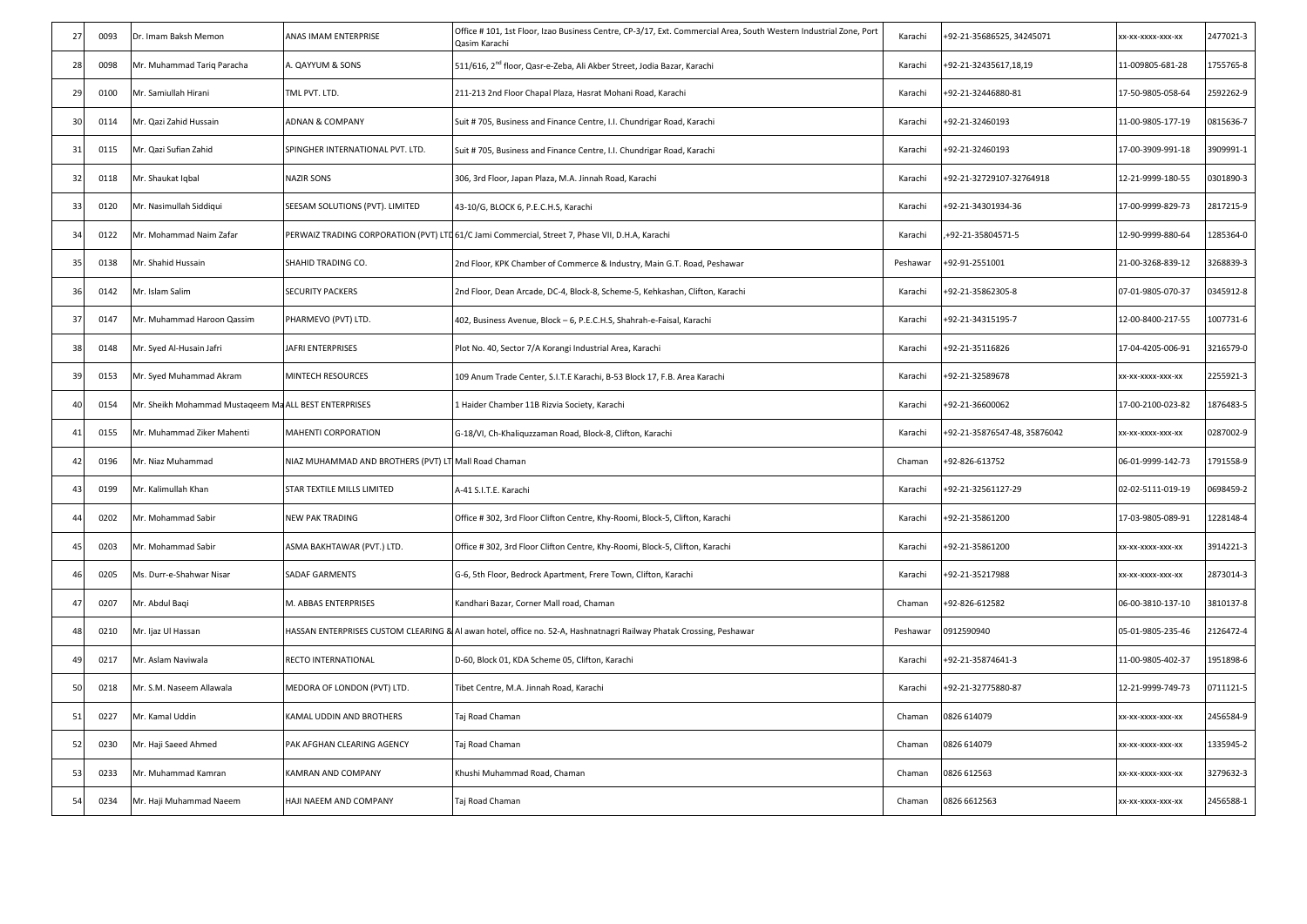| 27             | 0093 | Dr. Imam Baksh Memon                                 | ANAS IMAM ENTERPRISE                                 | Office # 101, 1st Floor, Izao Business Centre, CP-3/17, Ext. Commercial Area, South Western Industrial Zone, Port<br>Qasim Karachi | Karachi  | +92-21-35686525, 34245071    | xx-xx-xxxx-xxx-xx | 2477021-3 |
|----------------|------|------------------------------------------------------|------------------------------------------------------|------------------------------------------------------------------------------------------------------------------------------------|----------|------------------------------|-------------------|-----------|
| 28             | 0098 | Mr. Muhammad Tariq Paracha                           | A. QAYYUM & SONS                                     | 511/616, 2 <sup>nd</sup> floor, Qasr-e-Zeba, Ali Akber Street, Jodia Bazar, Karachi                                                | Karachi  | +92-21-32435617,18,19        | 11-009805-681-28  | 1755765-8 |
| 29             | 0100 | Mr. Samiullah Hirani                                 | TML PVT. LTD.                                        | 211-213 2nd Floor Chapal Plaza, Hasrat Mohani Road, Karachi                                                                        | Karachi  | +92-21-32446880-81           | 17-50-9805-058-64 | 2592262-9 |
| 30             | 0114 | Mr. Qazi Zahid Hussain                               | <b>ADNAN &amp; COMPANY</b>                           | Suit # 705, Business and Finance Centre, I.I. Chundrigar Road, Karachi                                                             | Karachi  | +92-21-32460193              | 11-00-9805-177-19 | 0815636-7 |
| 31             | 0115 | Mr. Qazi Sufian Zahid                                | SPINGHER INTERNATIONAL PVT. LTD.                     | Suit # 705, Business and Finance Centre, I.I. Chundrigar Road, Karachi                                                             | Karachi  | +92-21-32460193              | 17-00-3909-991-18 | 3909991-1 |
| 32             | 0118 | Mr. Shaukat Iqbal                                    | <b>NAZIR SONS</b>                                    | 306, 3rd Floor, Japan Plaza, M.A. Jinnah Road, Karachi                                                                             | Karachi  | +92-21-32729107-32764918     | 12-21-9999-180-55 | 0301890-3 |
| 33             | 0120 | Mr. Nasimullah Siddiqui                              | SEESAM SOLUTIONS (PVT). LIMITED                      | 43-10/G, BLOCK 6, P.E.C.H.S, Karachi                                                                                               | Karachi  | +92-21-34301934-36           | 17-00-9999-829-73 | 2817215-9 |
| 34             | 0122 | Mr. Mohammad Naim Zafar                              |                                                      | PERWAIZ TRADING CORPORATION (PVT) LTD 61/C Jami Commercial, Street 7, Phase VII, D.H.A, Karachi                                    | Karachi  | +92-21-35804571-5            | 12-90-9999-880-64 | 1285364-0 |
| 35             | 0138 | Mr. Shahid Hussain                                   | SHAHID TRADING CO.                                   | 2nd Floor, KPK Chamber of Commerce & Industry, Main G.T. Road, Peshawar                                                            | Peshawar | +92-91-2551001               | 21-00-3268-839-12 | 3268839-3 |
| 36             | 0142 | Mr. Islam Salim                                      | <b>SECURITY PACKERS</b>                              | 2nd Floor, Dean Arcade, DC-4, Block-8, Scheme-5, Kehkashan, Clifton, Karachi                                                       | Karachi  | +92-21-35862305-8            | 07-01-9805-070-37 | 0345912-8 |
| 37             | 0147 | Mr. Muhammad Haroon Qassim                           | PHARMEVO (PVT) LTD.                                  | 402, Business Avenue, Block - 6, P.E.C.H.S, Shahrah-e-Faisal, Karachi                                                              | Karachi  | +92-21-34315195-7            | 12-00-8400-217-55 | 1007731-6 |
| 38             | 0148 | Mr. Syed Al-Husain Jafri                             | JAFRI ENTERPRISES                                    | Plot No. 40, Sector 7/A Korangi Industrial Area, Karachi                                                                           | Karachi  | +92-21-35116826              | 17-04-4205-006-91 | 3216579-0 |
| 39             | 0153 | Mr. Syed Muhammad Akram                              | MINTECH RESOURCES                                    | 109 Anum Trade Center, S.I.T.E Karachi, B-53 Block 17, F.B. Area Karachi                                                           | Karachi  | +92-21-32589678              | (X-XX-XXXX-XXX-XX | 2255921-3 |
| 40             | 0154 | Mr. Sheikh Mohammad Mustageem MaALL BEST ENTERPRISES |                                                      | 1 Haider Chamber 11B Rizvia Society, Karachi                                                                                       | Karachi  | +92-21-36600062              | 17-00-2100-023-82 | 1876483-5 |
| 41             | 0155 | Mr. Muhammad Ziker Mahenti                           | MAHENTI CORPORATION                                  | G-18/VI, Ch-Khaliquzzaman Road, Block-8, Clifton, Karachi                                                                          | Karachi  | +92-21-35876547-48, 35876042 | xx-xx-xxxx-xxx-xx | 0287002-9 |
| 42             | 0196 | Mr. Niaz Muhammad                                    | NIAZ MUHAMMAD AND BROTHERS (PVT) LT Mall Road Chaman |                                                                                                                                    | Chaman   | +92-826-613752               | 06-01-9999-142-73 | 1791558-9 |
| 43             | 0199 | Mr. Kalimullah Khan                                  | STAR TEXTILE MILLS LIMITED                           | A-41 S.I.T.E. Karachi                                                                                                              | Karachi  | +92-21-32561127-29           | 02-02-5111-019-19 | 0698459-2 |
| 44             | 0202 | Mr. Mohammad Sabir                                   | <b>NEW PAK TRADING</b>                               | Office #302, 3rd Floor Clifton Centre, Khy-Roomi, Block-5, Clifton, Karachi                                                        | Karachi  | +92-21-35861200              | 17-03-9805-089-91 | 1228148-4 |
| 45             | 0203 | Mr. Mohammad Sabir                                   | ASMA BAKHTAWAR (PVT.) LTD.                           | Office #302, 3rd Floor Clifton Centre, Khy-Roomi, Block-5, Clifton, Karachi                                                        | Karachi  | +92-21-35861200              | x-xx-xxxx-xxx-xx  | 3914221-3 |
| 46             | 0205 | Ms. Durr-e-Shahwar Nisar                             | SADAF GARMENTS                                       | G-6, 5th Floor, Bedrock Apartment, Frere Town, Clifton, Karachi                                                                    | Karachi  | +92-21-35217988              | xx-xx-xxxx-xxx-xx | 2873014-3 |
| 47             | 0207 | Mr. Abdul Bagi                                       | M. ABBAS ENTERPRISES                                 | Kandhari Bazar, Corner Mall road, Chaman                                                                                           | Chaman   | +92-826-612582               | 06-00-3810-137-10 | 3810137-8 |
| 48             | 0210 | Mr. Ijaz Ul Hassan                                   |                                                      | HASSAN ENTERPRISES CUSTOM CLEARING & AI awan hotel, office no. 52-A, Hashnatnagri Railway Phatak Crossing, Peshawar                | Peshawar | 0912590940                   | 05-01-9805-235-46 | 2126472-4 |
| 4 <sup>c</sup> | 0217 | Mr. Aslam Naviwala                                   | RECTO INTERNATIONAL                                  | D-60, Block 01, KDA Scheme 05, Clifton, Karachi                                                                                    | Karachi  | +92-21-35874641-3            | 11-00-9805-402-37 | 1951898-6 |
| 50             | 0218 | Mr. S.M. Naseem Allawala                             | MEDORA OF LONDON (PVT) LTD.                          | Tibet Centre, M.A. Jinnah Road, Karachi                                                                                            | Karachi  | +92-21-32775880-87           | 12-21-9999-749-73 | 0711121-5 |
| 51             | 0227 | Mr. Kamal Uddin                                      | KAMAL UDDIN AND BROTHERS                             | Taj Road Chaman                                                                                                                    | Chaman   | 0826 614079                  | x-xx-xxxx-xxx-xx  | 2456584-9 |
| 52             | 0230 | Vir. Haji Saeed Ahmed                                | PAK AFGHAN CLEARING AGENCY                           | Taj Road Chaman                                                                                                                    | Chaman   | 0826 614079                  | xx-xx-xxxx-xxx-xx | 1335945-2 |
| 53             | 0233 | Mr. Muhammad Kamran                                  | KAMRAN AND COMPANY                                   | Khushi Muhammad Road, Chaman                                                                                                       | Chaman   | 0826 612563                  | xx-xx-xxxx-xxx-xx | 3279632-3 |
| 54             | 0234 | Mr. Haji Muhammad Naeem                              | HAJI NAEEM AND COMPANY                               | Taj Road Chaman                                                                                                                    | Chaman   | 0826 6612563                 | XX-XX-XXXX-XXX-XX | 2456588-1 |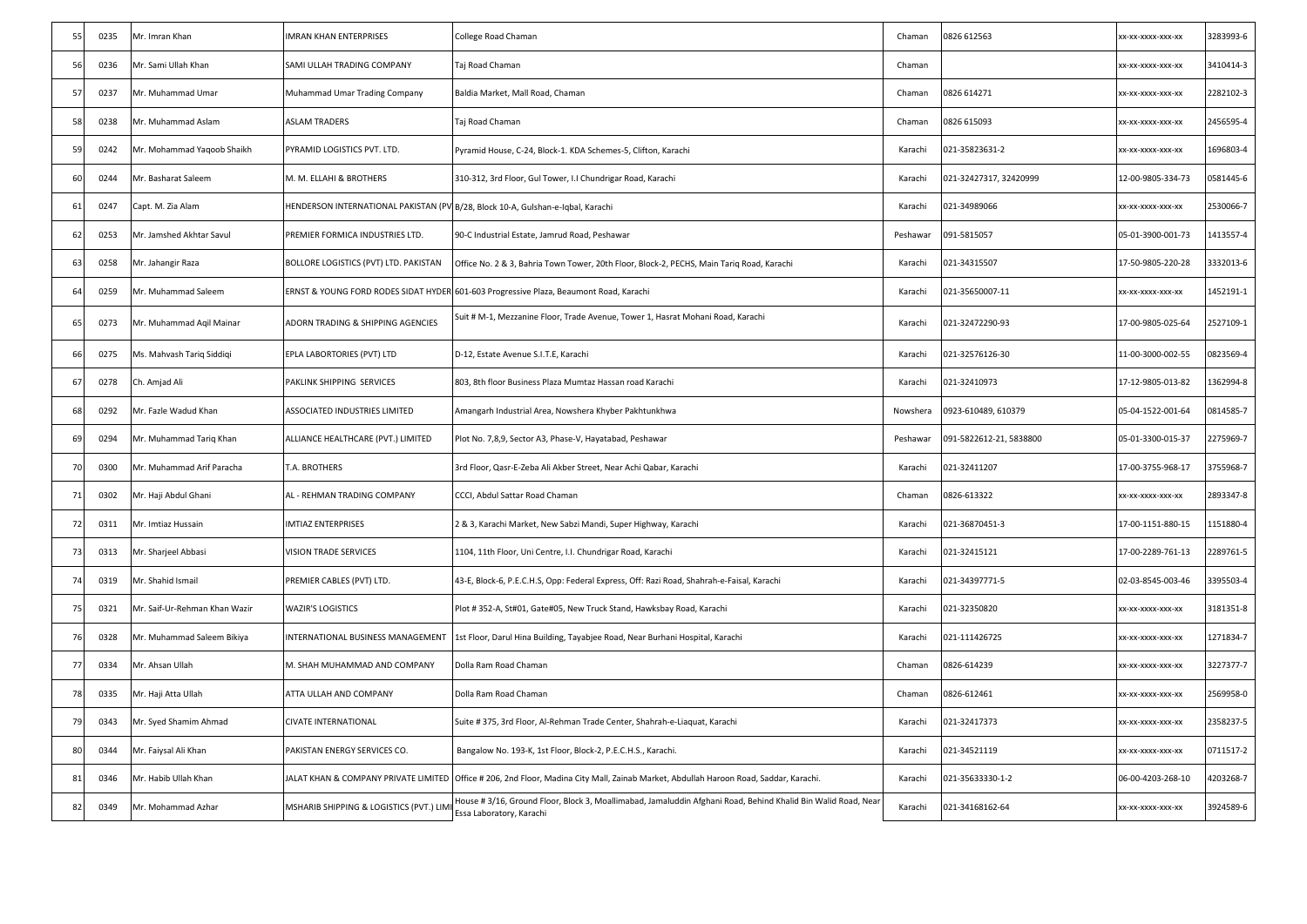| 55 | 0235 | Mr. Imran Khan                | <b>IMRAN KHAN ENTERPRISES</b>                                                   | College Road Chaman                                                                                                                       | Chaman   | 0826 612563             | XX-XX-XXXX-XXX-XX | 3283993-6 |
|----|------|-------------------------------|---------------------------------------------------------------------------------|-------------------------------------------------------------------------------------------------------------------------------------------|----------|-------------------------|-------------------|-----------|
| 56 | 0236 | Mr. Sami Ullah Khan           | SAMI ULLAH TRADING COMPANY                                                      | Taj Road Chaman                                                                                                                           | Chaman   |                         | XX-XX-XXXX-XXX-XX | 3410414-3 |
| 57 | 0237 | Mr. Muhammad Umar             | Muhammad Umar Trading Company                                                   | Baldia Market, Mall Road, Chaman                                                                                                          | Chaman   | 0826 614271             | X-XX-XXXX-XXX-XX  | 2282102-3 |
| 58 | 0238 | Mr. Muhammad Aslam            | <b>ASLAM TRADERS</b>                                                            | Taj Road Chaman                                                                                                                           | Chaman   | 0826 615093             | (X-XX-XXXX-XXX-XX | 2456595-4 |
| 59 | 0242 | Mr. Mohammad Yaqoob Shaikh    | PYRAMID LOGISTICS PVT. LTD.                                                     | Pyramid House, C-24, Block-1. KDA Schemes-5, Clifton, Karachi                                                                             | Karachi  | 021-35823631-2          | (X-XX-XXXX-XXX-XX | 1696803-4 |
| 60 | 0244 | Mr. Basharat Saleem           | M. M. ELLAHI & BROTHERS                                                         | 310-312, 3rd Floor, Gul Tower, I.I Chundrigar Road, Karachi                                                                               | Karachi  | 021-32427317, 32420999  | 12-00-9805-334-73 | 0581445-6 |
| 61 | 0247 | Capt. M. Zia Alam             | HENDERSON INTERNATIONAL PAKISTAN (PV B/28, Block 10-A, Gulshan-e-Iqbal, Karachi |                                                                                                                                           | Karachi  | 021-34989066            | XX-XX-XXXX-XXX-XX | 2530066-7 |
| 62 | 0253 | Mr. Jamshed Akhtar Savul      | PREMIER FORMICA INDUSTRIES LTD.                                                 | 90-C Industrial Estate, Jamrud Road, Peshawar                                                                                             | Peshawar | 091-5815057             | 05-01-3900-001-73 | 1413557-4 |
| 63 | 0258 | Mr. Jahangir Raza             | BOLLORE LOGISTICS (PVT) LTD. PAKISTAN                                           | Office No. 2 & 3, Bahria Town Tower, 20th Floor, Block-2, PECHS, Main Tariq Road, Karachi                                                 | Karachi  | 021-34315507            | 17-50-9805-220-28 | 3332013-6 |
| 64 | 0259 | Mr. Muhammad Saleem           |                                                                                 | ERNST & YOUNG FORD RODES SIDAT HYDER 601-603 Progressive Plaza, Beaumont Road, Karachi                                                    | Karachi  | 021-35650007-11         | XX-XXXXX-XXX-XX   | 1452191-1 |
| 65 | 0273 | Mr. Muhammad Aqil Mainar      | ADORN TRADING & SHIPPING AGENCIES                                               | Suit # M-1, Mezzanine Floor, Trade Avenue, Tower 1, Hasrat Mohani Road, Karachi                                                           | Karachi  | 021-32472290-93         | 17-00-9805-025-64 | 2527109-1 |
| 66 | 0275 | Ms. Mahvash Tariq Siddiqi     | EPLA LABORTORIES (PVT) LTD                                                      | D-12, Estate Avenue S.I.T.E, Karachi                                                                                                      | Karachi  | 021-32576126-30         | 11-00-3000-002-55 | 0823569-4 |
| 67 | 0278 | Ch. Amjad Ali                 | PAKLINK SHIPPING SERVICES                                                       | 803, 8th floor Business Plaza Mumtaz Hassan road Karachi                                                                                  | Karachi  | 021-32410973            | 17-12-9805-013-82 | 1362994-8 |
| 68 | 0292 | Mr. Fazle Wadud Khan          | ASSOCIATED INDUSTRIES LIMITED                                                   | Amangarh Industrial Area, Nowshera Khyber Pakhtunkhwa                                                                                     | Nowshera | 0923-610489, 610379     | 05-04-1522-001-64 | 0814585-7 |
| 69 | 0294 | Mr. Muhammad Tariq Khan       | ALLIANCE HEALTHCARE (PVT.) LIMITED                                              | Plot No. 7,8,9, Sector A3, Phase-V, Hayatabad, Peshawar                                                                                   | Peshawar | 091-5822612-21, 5838800 | 05-01-3300-015-37 | 2275969-7 |
| 70 | 0300 | Mr. Muhammad Arif Paracha     | T.A. BROTHERS                                                                   | 3rd Floor, Qasr-E-Zeba Ali Akber Street, Near Achi Qabar, Karachi                                                                         | Karachi  | 021-32411207            | 17-00-3755-968-17 | 3755968-7 |
| 71 | 0302 | Mr. Haji Abdul Ghani          | AL - REHMAN TRADING COMPANY                                                     | CCCI, Abdul Sattar Road Chaman                                                                                                            | Chaman   | 0826-613322             | (X-XX-XXXX-XXX-XX | 2893347-8 |
| 72 | 0311 | Mr. Imtiaz Hussain            | <b>IMTIAZ ENTERPRISES</b>                                                       | 2 & 3, Karachi Market, New Sabzi Mandi, Super Highway, Karachi                                                                            | Karachi  | 021-36870451-3          | 17-00-1151-880-15 | 1151880-4 |
| 73 | 0313 | Mr. Sharjeel Abbasi           | VISION TRADE SERVICES                                                           | 1104, 11th Floor, Uni Centre, I.I. Chundrigar Road, Karachi                                                                               | Karachi  | 021-32415121            | 17-00-2289-761-13 | 2289761-5 |
| 74 | 0319 | Mr. Shahid Ismail             | PREMIER CABLES (PVT) LTD.                                                       | 43-E, Block-6, P.E.C.H.S, Opp: Federal Express, Off: Razi Road, Shahrah-e-Faisal, Karachi                                                 | Karachi  | 021-34397771-5          | 02-03-8545-003-46 | 3395503-4 |
| 75 | 0321 | Mr. Saif-Ur-Rehman Khan Wazir | WAZIR'S LOGISTICS                                                               | Plot #352-A, St#01, Gate#05, New Truck Stand, Hawksbay Road, Karachi                                                                      | Karachi  | 021-32350820            | xx-xx-xxxx-xxx-xx | 3181351-8 |
| 76 | 0328 | Mr. Muhammad Saleem Bikiya    | INTERNATIONAL BUSINESS MANAGEMENT                                               | 1st Floor, Darul Hina Building, Tayabjee Road, Near Burhani Hospital, Karachi                                                             | Karachi  | 021-111426725           | x-xx-xxxx-xxx-xx  | 1271834-7 |
| 77 | 0334 | Mr. Ahsan Ullah               | M. SHAH MUHAMMAD AND COMPANY                                                    | Dolla Ram Road Chaman                                                                                                                     | Chaman   | 0826-614239             | (X-XX-XXXX-XXX-XX | 3227377-7 |
| 78 | 0335 | Mr. Haji Atta Ullah           | ATTA ULLAH AND COMPANY                                                          | Dolla Ram Road Chaman                                                                                                                     | Chaman   | 0826-612461             | X-XX-XXXX-XXX-XX  | 2569958-0 |
| 79 | 0343 | Mr. Syed Shamim Ahmad         | CIVATE INTERNATIONAL                                                            | Suite # 375, 3rd Floor, Al-Rehman Trade Center, Shahrah-e-Liaquat, Karachi                                                                | Karachi  | 021-32417373            | (X-XX-XXXX-XXX-XX | 2358237-5 |
| 80 | 0344 | Mr. Faiysal Ali Khan          | PAKISTAN ENERGY SERVICES CO.                                                    | Bangalow No. 193-K, 1st Floor, Block-2, P.E.C.H.S., Karachi.                                                                              | Karachi  | 021-34521119            | (X-XX-XXXX-XXX-XX | 0711517-2 |
| 81 | 0346 | Mr. Habib Ullah Khan          |                                                                                 | JALAT KHAN & COMPANY PRIVATE LIMITED  Office # 206, 2nd Floor, Madina City Mall, Zainab Market, Abdullah Haroon Road, Saddar, Karachi.    | Karachi  | 021-35633330-1-2        | 06-00-4203-268-10 | 4203268-7 |
| 82 | 0349 | Mr. Mohammad Azhar            | MSHARIB SHIPPING & LOGISTICS (PVT.) LIM                                         | louse # 3/16, Ground Floor, Block 3, Moallimabad, Jamaluddin Afghani Road, Behind Khalid Bin Walid Road, Near<br>Essa Laboratory, Karachi | Karachi  | 021-34168162-64         | xx-xx-xxxx-xxx-xx | 3924589-6 |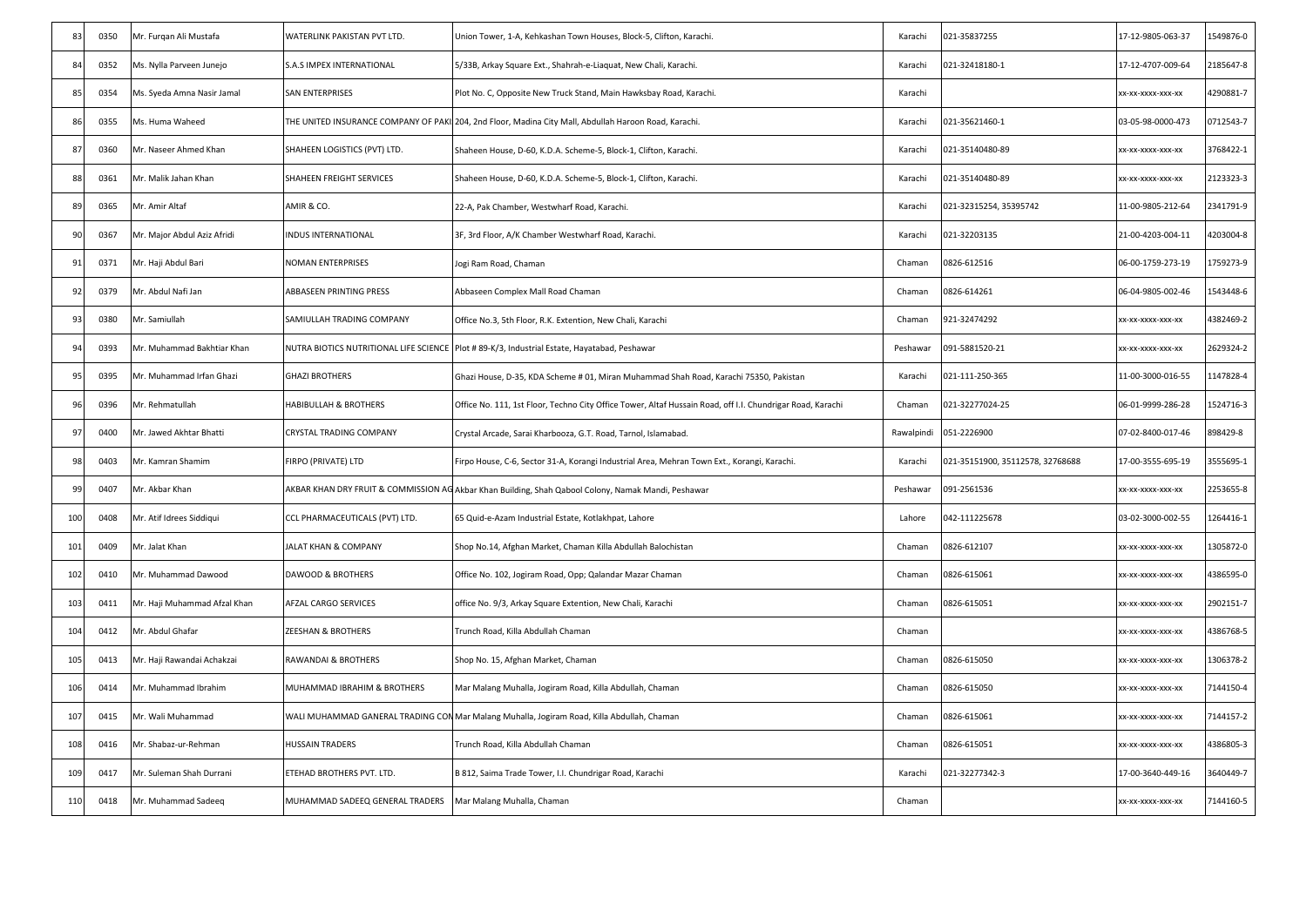| 83  | 0350 | Mr. Furqan Ali Mustafa       | WATERLINK PAKISTAN PVT LTD.                                | Union Tower, 1-A, Kehkashan Town Houses, Block-5, Clifton, Karachi.                                        | Karachi    | 021-35837255                     | 17-12-9805-063-37 | 1549876-0 |
|-----|------|------------------------------|------------------------------------------------------------|------------------------------------------------------------------------------------------------------------|------------|----------------------------------|-------------------|-----------|
| 84  | 0352 | Ms. Nylla Parveen Junejo     | S.A.S IMPEX INTERNATIONAL                                  | 5/33B, Arkay Square Ext., Shahrah-e-Liaquat, New Chali, Karachi.                                           | Karachi    | 021-32418180-1                   | 17-12-4707-009-64 | 2185647-8 |
| 85  | 0354 | Ms. Syeda Amna Nasir Jamal   | SAN ENTERPRISES                                            | Plot No. C, Opposite New Truck Stand, Main Hawksbay Road, Karachi.                                         | Karachi    |                                  | xx-xx-xxxx-xxx-xx | 4290881-7 |
| 86  | 0355 | Ms. Huma Waheed              |                                                            | THE UNITED INSURANCE COMPANY OF PAKI 204, 2nd Floor, Madina City Mall, Abdullah Haroon Road, Karachi.      | Karachi    | 021-35621460-1                   | 03-05-98-0000-473 | 0712543-7 |
| 87  | 0360 | Mr. Naseer Ahmed Khan        | SHAHEEN LOGISTICS (PVT) LTD.                               | Shaheen House, D-60, K.D.A. Scheme-5, Block-1, Clifton, Karachi.                                           | Karachi    | 021-35140480-89                  | xx-xx-xxxx-xxx-xx | 3768422-1 |
| 88  | 0361 | Mr. Malik Jahan Khan         | SHAHEEN FREIGHT SERVICES                                   | Shaheen House, D-60, K.D.A. Scheme-5, Block-1, Clifton, Karachi.                                           | Karachi    | 021-35140480-89                  | XX-XX-XXXX-XXX-XX | 2123323-3 |
| 89  | 0365 | Mr. Amir Altaf               | AMIR & CO.                                                 | 22-A, Pak Chamber, Westwharf Road, Karachi.                                                                | Karachi    | 021-32315254, 35395742           | 11-00-9805-212-64 | 2341791-9 |
| 90  | 0367 | Mr. Major Abdul Aziz Afridi  | INDUS INTERNATIONAL                                        | 3F, 3rd Floor, A/K Chamber Westwharf Road, Karachi.                                                        | Karachi    | 021-32203135                     | 21-00-4203-004-11 | 4203004-8 |
| 91  | 0371 | Mr. Haji Abdul Bari          | NOMAN ENTERPRISES                                          | Jogi Ram Road, Chaman                                                                                      | Chaman     | 0826-612516                      | 06-00-1759-273-19 | 1759273-9 |
| 92  | 0379 | Mr. Abdul Nafi Jan           | ABBASEEN PRINTING PRESS                                    | Abbaseen Complex Mall Road Chaman                                                                          | Chaman     | 0826-614261                      | 06-04-9805-002-46 | 1543448-6 |
| 93  | 0380 | Mr. Samiullah                | SAMIULLAH TRADING COMPANY                                  | Office No.3, 5th Floor, R.K. Extention, New Chali, Karachi                                                 | Chaman     | 921-32474292                     | (X-XX-XXXX-XXX-XX | 4382469-2 |
| 94  | 0393 | Mr. Muhammad Bakhtiar Khan   |                                                            | NUTRA BIOTICS NUTRITIONAL LIFE SCIENCE Plot # 89-K/3, Industrial Estate, Hayatabad, Peshawar               | Peshawar   | 091-5881520-21                   | xx-xx-xxxx-xxx-xx | 2629324-2 |
| 95  | 0395 | Mr. Muhammad Irfan Ghazi     | <b>GHAZI BROTHERS</b>                                      | Ghazi House, D-35, KDA Scheme # 01, Miran Muhammad Shah Road, Karachi 75350, Pakistan                      | Karachi    | 021-111-250-365                  | 11-00-3000-016-55 | 1147828-4 |
| 96  | 0396 | Mr. Rehmatullah              | HABIBULLAH & BROTHERS                                      | Office No. 111, 1st Floor, Techno City Office Tower, Altaf Hussain Road, off I.I. Chundrigar Road, Karachi | Chaman     | 021-32277024-25                  | 06-01-9999-286-28 | 1524716-3 |
| 97  | 0400 | Mr. Jawed Akhtar Bhatti      | CRYSTAL TRADING COMPANY                                    | Crystal Arcade, Sarai Kharbooza, G.T. Road, Tarnol, Islamabad.                                             | Rawalpindi | 051-2226900                      | 07-02-8400-017-46 | 898429-8  |
| 98  | 0403 | Mr. Kamran Shamim            | FIRPO (PRIVATE) LTD                                        | Firpo House, C-6, Sector 31-A, Korangi Industrial Area, Mehran Town Ext., Korangi, Karachi.                | Karachi    | 021-35151900, 35112578, 32768688 | 17-00-3555-695-19 | 3555695-1 |
| 99  | 0407 | Mr. Akbar Khan               |                                                            | AKBAR KHAN DRY FRUIT & COMMISSION AG Akbar Khan Building, Shah Qabool Colony, Namak Mandi, Peshawar        | Peshawar   | 091-2561536                      | x-xx-xxxx-xxx-xx  | 2253655-8 |
| 100 | 0408 | Mr. Atif Idrees Siddiqui     | CCL PHARMACEUTICALS (PVT) LTD.                             | 65 Quid-e-Azam Industrial Estate, Kotlakhpat, Lahore                                                       | Lahore     | 042-111225678                    | 03-02-3000-002-55 | 1264416-1 |
| 101 | 0409 | Mr. Jalat Khan               | JALAT KHAN & COMPANY                                       | Shop No.14, Afghan Market, Chaman Killa Abdullah Balochistan                                               | Chaman     | 0826-612107                      | xx-xx-xxxx-xxx-xx | 1305872-0 |
| 102 | 0410 | Mr. Muhammad Dawood          | <b>DAWOOD &amp; BROTHERS</b>                               | Office No. 102, Jogiram Road, Opp; Qalandar Mazar Chaman                                                   | Chaman     | 0826-615061                      | xx-xx-xxxx-xxx-xx | 1386595-0 |
| 103 | 0411 | Mr. Haji Muhammad Afzal Khan | AFZAL CARGO SERVICES                                       | office No. 9/3, Arkay Square Extention, New Chali, Karachi                                                 | Chaman     | 0826-615051                      | xx-xx-xxxx-xxx-xx | 2902151-7 |
| 104 | 0412 | Mr. Abdul Ghafar             | ZEESHAN & BROTHERS                                         | Trunch Road, Killa Abdullah Chaman                                                                         | Chaman     |                                  | xx-xx-xxxx-xxx-xx | 4386768-5 |
| 105 | 0413 | Mr. Haji Rawandai Achakzai   | RAWANDAI & BROTHERS                                        | Shop No. 15, Afghan Market, Chaman                                                                         | Chaman     | 0826-615050                      | XX-XX-XXXX-XXX-XX | 1306378-2 |
| 106 | 0414 | Mr. Muhammad Ibrahim         | MUHAMMAD IBRAHIM & BROTHERS                                | Mar Malang Muhalla, Jogiram Road, Killa Abdullah, Chaman                                                   | Chaman     | 0826-615050                      | xx-xx-xxxx-xxx-xx | 7144150-4 |
| 107 | 0415 | Mr. Wali Muhammad            |                                                            | WALI MUHAMMAD GANERAL TRADING CON Mar Malang Muhalla, Jogiram Road, Killa Abdullah, Chaman                 | Chaman     | 0826-615061                      | XX-XX-XXXX-XXX-XX | 7144157-2 |
| 108 | 0416 | Mr. Shabaz-ur-Rehman         | HUSSAIN TRADERS                                            | Trunch Road, Killa Abdullah Chaman                                                                         | Chaman     | 0826-615051                      | xx-xx-xxxx-xxx-xx | 4386805-3 |
| 109 | 0417 | Mr. Suleman Shah Durrani     | ETEHAD BROTHERS PVT. LTD.                                  | B 812, Saima Trade Tower, I.I. Chundrigar Road, Karachi                                                    | Karachi    | 021-32277342-3                   | 17-00-3640-449-16 | 3640449-7 |
| 110 | 0418 | Mr. Muhammad Sadeeq          | MUHAMMAD SADEEQ GENERAL TRADERS Mar Malang Muhalla, Chaman |                                                                                                            | Chaman     |                                  | xx-xx-xxxx-xxx-xx | 7144160-5 |